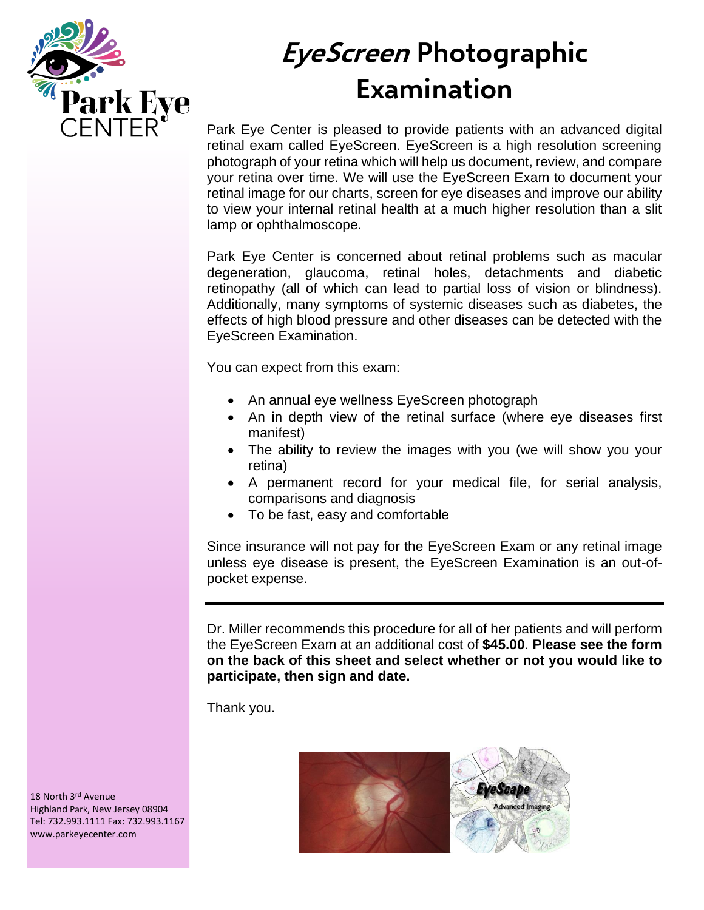

# **EyeScreen Photographic Examination**

Park Eye Center is pleased to provide patients with an advanced digital retinal exam called EyeScreen. EyeScreen is a high resolution screening photograph of your retina which will help us document, review, and compare your retina over time. We will use the EyeScreen Exam to document your retinal image for our charts, screen for eye diseases and improve our ability to view your internal retinal health at a much higher resolution than a slit lamp or ophthalmoscope.

Park Eye Center is concerned about retinal problems such as macular degeneration, glaucoma, retinal holes, detachments and diabetic retinopathy (all of which can lead to partial loss of vision or blindness). Additionally, many symptoms of systemic diseases such as diabetes, the effects of high blood pressure and other diseases can be detected with the EyeScreen Examination.

You can expect from this exam:

- An annual eye wellness EyeScreen photograph
- An in depth view of the retinal surface (where eye diseases first manifest)
- The ability to review the images with you (we will show you your retina)
- A permanent record for your medical file, for serial analysis, comparisons and diagnosis
- To be fast, easy and comfortable

Since insurance will not pay for the EyeScreen Exam or any retinal image unless eye disease is present, the EyeScreen Examination is an out-ofpocket expense.

Dr. Miller recommends this procedure for all of her patients and will perform the EyeScreen Exam at an additional cost of **\$45.00**. **Please see the form on the back of this sheet and select whether or not you would like to participate, then sign and date.**

Thank you.



18 North 3rd Avenue Highland Park, New Jersey 08904 Tel: 732.993.1111 Fax: 732.993.1167 www.parkeyecenter.com